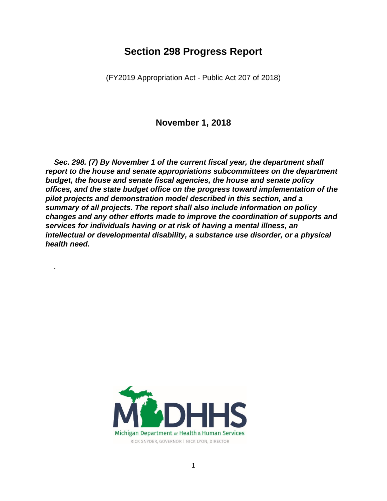# **Section 298 Progress Report**

(FY2019 Appropriation Act - Public Act 207 of 2018)

**November 1, 2018**

*Sec. 298. (7) By November 1 of the current fiscal year, the department shall report to the house and senate appropriations subcommittees on the department budget, the house and senate fiscal agencies, the house and senate policy offices, and the state budget office on the progress toward implementation of the pilot projects and demonstration model described in this section, and a summary of all projects. The report shall also include information on policy changes and any other efforts made to improve the coordination of supports and services for individuals having or at risk of having a mental illness, an intellectual or developmental disability, a substance use disorder, or a physical health need.* 

*.*

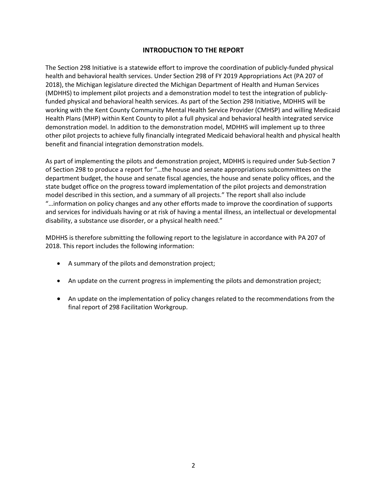# **INTRODUCTION TO THE REPORT**

The Section 298 Initiative is a statewide effort to improve the coordination of publicly-funded physical health and behavioral health services. Under Section 298 of FY 2019 Appropriations Act (PA 207 of 2018), the Michigan legislature directed the Michigan Department of Health and Human Services (MDHHS) to implement pilot projects and a demonstration model to test the integration of publiclyfunded physical and behavioral health services. As part of the Section 298 Initiative, MDHHS will be working with the Kent County Community Mental Health Service Provider (CMHSP) and willing Medicaid Health Plans (MHP) within Kent County to pilot a full physical and behavioral health integrated service demonstration model. In addition to the demonstration model, MDHHS will implement up to three other pilot projects to achieve fully financially integrated Medicaid behavioral health and physical health benefit and financial integration demonstration models.

As part of implementing the pilots and demonstration project, MDHHS is required under Sub-Section 7 of Section 298 to produce a report for "…the house and senate appropriations subcommittees on the department budget, the house and senate fiscal agencies, the house and senate policy offices, and the state budget office on the progress toward implementation of the pilot projects and demonstration model described in this section, and a summary of all projects." The report shall also include "…information on policy changes and any other efforts made to improve the coordination of supports and services for individuals having or at risk of having a mental illness, an intellectual or developmental disability, a substance use disorder, or a physical health need."

MDHHS is therefore submitting the following report to the legislature in accordance with PA 207 of 2018. This report includes the following information:

- A summary of the pilots and demonstration project;
- An update on the current progress in implementing the pilots and demonstration project;
- An update on the implementation of policy changes related to the recommendations from the final report of 298 Facilitation Workgroup.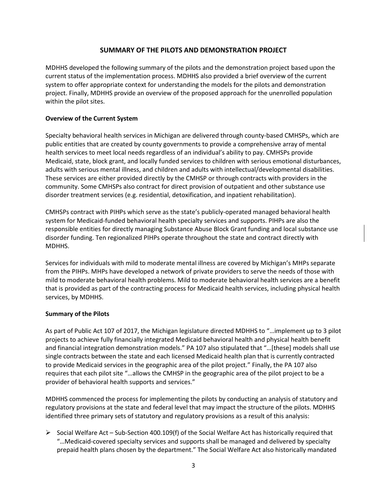## **SUMMARY OF THE PILOTS AND DEMONSTRATION PROJECT**

MDHHS developed the following summary of the pilots and the demonstration project based upon the current status of the implementation process. MDHHS also provided a brief overview of the current system to offer appropriate context for understanding the models for the pilots and demonstration project. Finally, MDHHS provide an overview of the proposed approach for the unenrolled population within the pilot sites.

### **Overview of the Current System**

Specialty behavioral health services in Michigan are delivered through county-based CMHSPs, which are public entities that are created by county governments to provide a comprehensive array of mental health services to meet local needs regardless of an individual's ability to pay. CMHSPs provide Medicaid, state, block grant, and locally funded services to children with serious emotional disturbances, adults with serious mental illness, and children and adults with intellectual/developmental disabilities. These services are either provided directly by the CMHSP or through contracts with providers in the community. Some CMHSPs also contract for direct provision of outpatient and other substance use disorder treatment services (e.g. residential, detoxification, and inpatient rehabilitation).

CMHSPs contract with PIHPs which serve as the state's publicly-operated managed behavioral health system for Medicaid-funded behavioral health specialty services and supports. PIHPs are also the responsible entities for directly managing Substance Abuse Block Grant funding and local substance use disorder funding. Ten regionalized PIHPs operate throughout the state and contract directly with MDHHS.

Services for individuals with mild to moderate mental illness are covered by Michigan's MHPs separate from the PIHPs. MHPs have developed a network of private providers to serve the needs of those with mild to moderate behavioral health problems. Mild to moderate behavioral health services are a benefit that is provided as part of the contracting process for Medicaid health services, including physical health services, by MDHHS.

### **Summary of the Pilots**

As part of Public Act 107 of 2017, the Michigan legislature directed MDHHS to "…implement up to 3 pilot projects to achieve fully financially integrated Medicaid behavioral health and physical health benefit and financial integration demonstration models." PA 107 also stipulated that "…[these] models shall use single contracts between the state and each licensed Medicaid health plan that is currently contracted to provide Medicaid services in the geographic area of the pilot project." Finally, the PA 107 also requires that each pilot site "…allows the CMHSP in the geographic area of the pilot project to be a provider of behavioral health supports and services."

MDHHS commenced the process for implementing the pilots by conducting an analysis of statutory and regulatory provisions at the state and federal level that may impact the structure of the pilots. MDHHS identified three primary sets of statutory and regulatory provisions as a result of this analysis:

 $\triangleright$  Social Welfare Act – Sub-Section 400.109(f) of the Social Welfare Act has historically required that "…Medicaid-covered specialty services and supports shall be managed and delivered by specialty prepaid health plans chosen by the department." The Social Welfare Act also historically mandated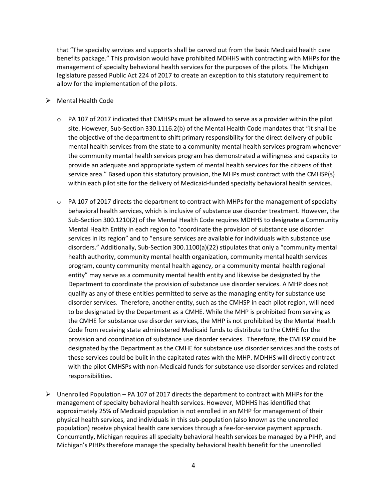that "The specialty services and supports shall be carved out from the basic Medicaid health care benefits package." This provision would have prohibited MDHHS with contracting with MHPs for the management of specialty behavioral health services for the purposes of the pilots. The Michigan legislature passed Public Act 224 of 2017 to create an exception to this statutory requirement to allow for the implementation of the pilots.

- ➢ Mental Health Code
	- $\circ$  PA 107 of 2017 indicated that CMHSPs must be allowed to serve as a provider within the pilot site. However, Sub-Section 330.1116.2(b) of the Mental Health Code mandates that "it shall be the objective of the department to shift primary responsibility for the direct delivery of public mental health services from the state to a community mental health services program whenever the community mental health services program has demonstrated a willingness and capacity to provide an adequate and appropriate system of mental health services for the citizens of that service area." Based upon this statutory provision, the MHPs must contract with the CMHSP(s) within each pilot site for the delivery of Medicaid-funded specialty behavioral health services.
	- $\circ$  PA 107 of 2017 directs the department to contract with MHPs for the management of specialty behavioral health services, which is inclusive of substance use disorder treatment. However, the Sub-Section 300.1210(2) of the Mental Health Code requires MDHHS to designate a Community Mental Health Entity in each region to "coordinate the provision of substance use disorder services in its region" and to "ensure services are available for individuals with substance use disorders." Additionally, Sub-Section 300.1100(a)(22) stipulates that only a "community mental health authority, community mental health organization, community mental health services program, county community mental health agency, or a community mental health regional entity" may serve as a community mental health entity and likewise be designated by the Department to coordinate the provision of substance use disorder services. A MHP does not qualify as any of these entities permitted to serve as the managing entity for substance use disorder services. Therefore, another entity, such as the CMHSP in each pilot region, will need to be designated by the Department as a CMHE. While the MHP is prohibited from serving as the CMHE for substance use disorder services, the MHP is not prohibited by the Mental Health Code from receiving state administered Medicaid funds to distribute to the CMHE for the provision and coordination of substance use disorder services. Therefore, the CMHSP could be designated by the Department as the CMHE for substance use disorder services and the costs of these services could be built in the capitated rates with the MHP. MDHHS will directly contract with the pilot CMHSPs with non-Medicaid funds for substance use disorder services and related responsibilities.
- $\triangleright$  Unenrolled Population PA 107 of 2017 directs the department to contract with MHPs for the management of specialty behavioral health services. However, MDHHS has identified that approximately 25% of Medicaid population is not enrolled in an MHP for management of their physical health services, and individuals in this sub-population (also known as the unenrolled population) receive physical health care services through a fee-for-service payment approach. Concurrently, Michigan requires all specialty behavioral health services be managed by a PIHP, and Michigan's PIHPs therefore manage the specialty behavioral health benefit for the unenrolled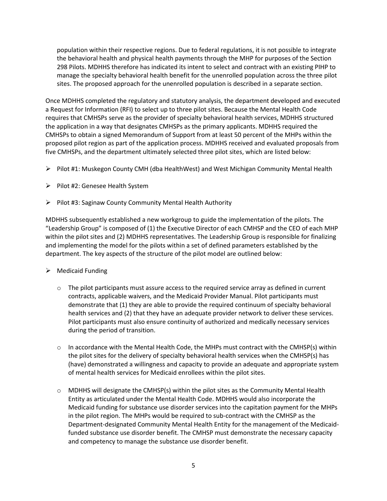population within their respective regions. Due to federal regulations, it is not possible to integrate the behavioral health and physical health payments through the MHP for purposes of the Section 298 Pilots. MDHHS therefore has indicated its intent to select and contract with an existing PIHP to manage the specialty behavioral health benefit for the unenrolled population across the three pilot sites. The proposed approach for the unenrolled population is described in a separate section.

Once MDHHS completed the regulatory and statutory analysis, the department developed and executed a Request for Information (RFI) to select up to three pilot sites. Because the Mental Health Code requires that CMHSPs serve as the provider of specialty behavioral health services, MDHHS structured the application in a way that designates CMHSPs as the primary applicants. MDHHS required the CMHSPs to obtain a signed Memorandum of Support from at least 50 percent of the MHPs within the proposed pilot region as part of the application process. MDHHS received and evaluated proposals from five CMHSPs, and the department ultimately selected three pilot sites, which are listed below:

- ➢ Pilot #1: Muskegon County CMH (dba HealthWest) and West Michigan Community Mental Health
- ➢ Pilot #2: Genesee Health System
- ➢ Pilot #3: Saginaw County Community Mental Health Authority

MDHHS subsequently established a new workgroup to guide the implementation of the pilots. The "Leadership Group" is composed of (1) the Executive Director of each CMHSP and the CEO of each MHP within the pilot sites and (2) MDHHS representatives. The Leadership Group is responsible for finalizing and implementing the model for the pilots within a set of defined parameters established by the department. The key aspects of the structure of the pilot model are outlined below:

## ➢ Medicaid Funding

- $\circ$  The pilot participants must assure access to the required service array as defined in current contracts, applicable waivers, and the Medicaid Provider Manual. Pilot participants must demonstrate that (1) they are able to provide the required continuum of specialty behavioral health services and (2) that they have an adequate provider network to deliver these services. Pilot participants must also ensure continuity of authorized and medically necessary services during the period of transition.
- $\circ$  In accordance with the Mental Health Code, the MHPs must contract with the CMHSP(s) within the pilot sites for the delivery of specialty behavioral health services when the CMHSP(s) has (have) demonstrated a willingness and capacity to provide an adequate and appropriate system of mental health services for Medicaid enrollees within the pilot sites.
- $\circ$  MDHHS will designate the CMHSP(s) within the pilot sites as the Community Mental Health Entity as articulated under the Mental Health Code. MDHHS would also incorporate the Medicaid funding for substance use disorder services into the capitation payment for the MHPs in the pilot region. The MHPs would be required to sub-contract with the CMHSP as the Department-designated Community Mental Health Entity for the management of the Medicaidfunded substance use disorder benefit. The CMHSP must demonstrate the necessary capacity and competency to manage the substance use disorder benefit.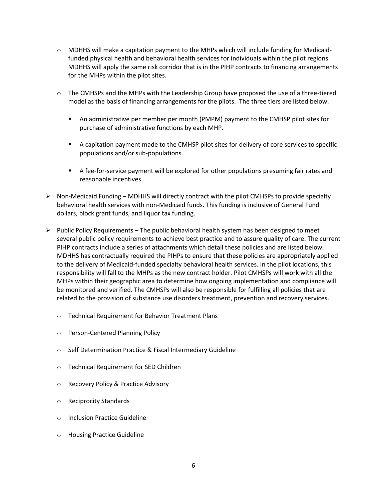- $\circ$  MDHHS will make a capitation payment to the MHPs which will include funding for Medicaidfunded physical health and behavioral health services for individuals within the pilot regions. MDHHS will apply the same risk corridor that is in the PIHP contracts to financing arrangements for the MHPs within the pilot sites.
- o The CMHSPs and the MHPs with the Leadership Group have proposed the use of a three-tiered model as the basis of financing arrangements for the pilots. The three tiers are listed below.
	- An administrative per member per month (PMPM) payment to the CMHSP pilot sites for purchase of administrative functions by each MHP.
	- A capitation payment made to the CMHSP pilot sites for delivery of core services to specific populations and/or sub-populations.
	- **EXECT** A fee-for-service payment will be explored for other populations presuming fair rates and reasonable incentives.
- $\triangleright$  Non-Medicaid Funding MDHHS will directly contract with the pilot CMHSPs to provide specialty behavioral health services with non-Medicaid funds. This funding is inclusive of General Fund dollars, block grant funds, and liquor tax funding.
- $\triangleright$  Public Policy Requirements The public behavioral health system has been designed to meet several public policy requirements to achieve best practice and to assure quality of care. The current PIHP contracts include a series of attachments which detail these policies and are listed below. MDHHS has contractually required the PIHPs to ensure that these policies are appropriately applied to the delivery of Medicaid-funded specialty behavioral health services. In the pilot locations, this responsibility will fall to the MHPs as the new contract holder. Pilot CMHSPs will work with all the MHPs within their geographic area to determine how ongoing implementation and compliance will be monitored and verified. The CMHSPs will also be responsible for fulfilling all policies that are related to the provision of substance use disorders treatment, prevention and recovery services.
	- o Technical Requirement for Behavior Treatment Plans
	- o Person-Centered Planning Policy
	- o Self Determination Practice & Fiscal Intermediary Guideline
	- o Technical Requirement for SED Children
	- o Recovery Policy & Practice Advisory
	- o Reciprocity Standards
	- o Inclusion Practice Guideline
	- o Housing Practice Guideline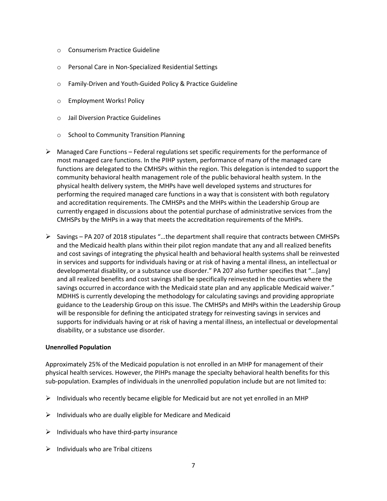- o Consumerism Practice Guideline
- o Personal Care in Non-Specialized Residential Settings
- o Family-Driven and Youth-Guided Policy & Practice Guideline
- o Employment Works! Policy
- o Jail Diversion Practice Guidelines
- o School to Community Transition Planning
- $\triangleright$  Managed Care Functions Federal regulations set specific requirements for the performance of most managed care functions. In the PIHP system, performance of many of the managed care functions are delegated to the CMHSPs within the region. This delegation is intended to support the community behavioral health management role of the public behavioral health system. In the physical health delivery system, the MHPs have well developed systems and structures for performing the required managed care functions in a way that is consistent with both regulatory and accreditation requirements. The CMHSPs and the MHPs within the Leadership Group are currently engaged in discussions about the potential purchase of administrative services from the CMHSPs by the MHPs in a way that meets the accreditation requirements of the MHPs.
- ➢ Savings PA 207 of 2018 stipulates "…the department shall require that contracts between CMHSPs and the Medicaid health plans within their pilot region mandate that any and all realized benefits and cost savings of integrating the physical health and behavioral health systems shall be reinvested in services and supports for individuals having or at risk of having a mental illness, an intellectual or developmental disability, or a substance use disorder." PA 207 also further specifies that "…[any] and all realized benefits and cost savings shall be specifically reinvested in the counties where the savings occurred in accordance with the Medicaid state plan and any applicable Medicaid waiver." MDHHS is currently developing the methodology for calculating savings and providing appropriate guidance to the Leadership Group on this issue. The CMHSPs and MHPs within the Leadership Group will be responsible for defining the anticipated strategy for reinvesting savings in services and supports for individuals having or at risk of having a mental illness, an intellectual or developmental disability, or a substance use disorder.

### **Unenrolled Population**

Approximately 25% of the Medicaid population is not enrolled in an MHP for management of their physical health services. However, the PIHPs manage the specialty behavioral health benefits for this sub-population. Examples of individuals in the unenrolled population include but are not limited to:

- $\triangleright$  Individuals who recently became eligible for Medicaid but are not yet enrolled in an MHP
- $\triangleright$  Individuals who are dually eligible for Medicare and Medicaid
- $\triangleright$  Individuals who have third-party insurance
- $\triangleright$  Individuals who are Tribal citizens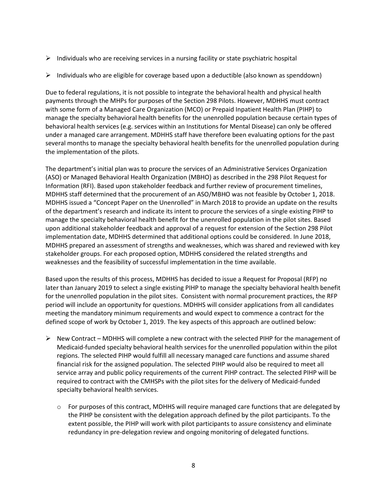- $\triangleright$  Individuals who are receiving services in a nursing facility or state psychiatric hospital
- $\triangleright$  Individuals who are eligible for coverage based upon a deductible (also known as spenddown)

Due to federal regulations, it is not possible to integrate the behavioral health and physical health payments through the MHPs for purposes of the Section 298 Pilots. However, MDHHS must contract with some form of a Managed Care Organization (MCO) or Prepaid Inpatient Health Plan (PIHP) to manage the specialty behavioral health benefits for the unenrolled population because certain types of behavioral health services (e.g. services within an Institutions for Mental Disease) can only be offered under a managed care arrangement. MDHHS staff have therefore been evaluating options for the past several months to manage the specialty behavioral health benefits for the unenrolled population during the implementation of the pilots.

The department's initial plan was to procure the services of an Administrative Services Organization (ASO) or Managed Behavioral Health Organization (MBHO) as described in the 298 Pilot Request for Information (RFI). Based upon stakeholder feedback and further review of procurement timelines, MDHHS staff determined that the procurement of an ASO/MBHO was not feasible by October 1, 2018. MDHHS issued a "Concept Paper on the Unenrolled" in March 2018 to provide an update on the results of the department's research and indicate its intent to procure the services of a single existing PIHP to manage the specialty behavioral health benefit for the unenrolled population in the pilot sites. Based upon additional stakeholder feedback and approval of a request for extension of the Section 298 Pilot implementation date, MDHHS determined that additional options could be considered. In June 2018, MDHHS prepared an assessment of strengths and weaknesses, which was shared and reviewed with key stakeholder groups. For each proposed option, MDHHS considered the related strengths and weaknesses and the feasibility of successful implementation in the time available.

Based upon the results of this process, MDHHS has decided to issue a Request for Proposal (RFP) no later than January 2019 to select a single existing PIHP to manage the specialty behavioral health benefit for the unenrolled population in the pilot sites. Consistent with normal procurement practices, the RFP period will include an opportunity for questions. MDHHS will consider applications from all candidates meeting the mandatory minimum requirements and would expect to commence a contract for the defined scope of work by October 1, 2019. The key aspects of this approach are outlined below:

- $\triangleright$  New Contract MDHHS will complete a new contract with the selected PIHP for the management of Medicaid-funded specialty behavioral health services for the unenrolled population within the pilot regions. The selected PIHP would fulfill all necessary managed care functions and assume shared financial risk for the assigned population. The selected PIHP would also be required to meet all service array and public policy requirements of the current PIHP contract. The selected PIHP will be required to contract with the CMHSPs with the pilot sites for the delivery of Medicaid-funded specialty behavioral health services.
	- $\circ$  For purposes of this contract, MDHHS will require managed care functions that are delegated by the PIHP be consistent with the delegation approach defined by the pilot participants. To the extent possible, the PIHP will work with pilot participants to assure consistency and eliminate redundancy in pre-delegation review and ongoing monitoring of delegated functions.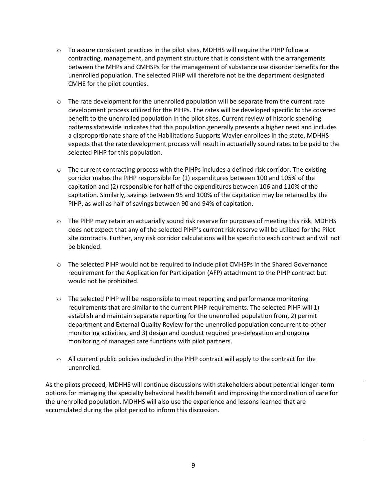- $\circ$  To assure consistent practices in the pilot sites, MDHHS will require the PIHP follow a contracting, management, and payment structure that is consistent with the arrangements between the MHPs and CMHSPs for the management of substance use disorder benefits for the unenrolled population. The selected PIHP will therefore not be the department designated CMHE for the pilot counties.
- $\circ$  The rate development for the unenrolled population will be separate from the current rate development process utilized for the PIHPs. The rates will be developed specific to the covered benefit to the unenrolled population in the pilot sites. Current review of historic spending patterns statewide indicates that this population generally presents a higher need and includes a disproportionate share of the Habilitations Supports Wavier enrollees in the state. MDHHS expects that the rate development process will result in actuarially sound rates to be paid to the selected PIHP for this population.
- $\circ$  The current contracting process with the PIHPs includes a defined risk corridor. The existing corridor makes the PIHP responsible for (1) expenditures between 100 and 105% of the capitation and (2) responsible for half of the expenditures between 106 and 110% of the capitation. Similarly, savings between 95 and 100% of the capitation may be retained by the PIHP, as well as half of savings between 90 and 94% of capitation.
- $\circ$  The PIHP may retain an actuarially sound risk reserve for purposes of meeting this risk. MDHHS does not expect that any of the selected PIHP's current risk reserve will be utilized for the Pilot site contracts. Further, any risk corridor calculations will be specific to each contract and will not be blended.
- o The selected PIHP would not be required to include pilot CMHSPs in the Shared Governance requirement for the Application for Participation (AFP) attachment to the PIHP contract but would not be prohibited.
- $\circ$  The selected PIHP will be responsible to meet reporting and performance monitoring requirements that are similar to the current PIHP requirements. The selected PIHP will 1) establish and maintain separate reporting for the unenrolled population from, 2) permit department and External Quality Review for the unenrolled population concurrent to other monitoring activities, and 3) design and conduct required pre-delegation and ongoing monitoring of managed care functions with pilot partners.
- $\circ$  All current public policies included in the PIHP contract will apply to the contract for the unenrolled.

As the pilots proceed, MDHHS will continue discussions with stakeholders about potential longer-term options for managing the specialty behavioral health benefit and improving the coordination of care for the unenrolled population. MDHHS will also use the experience and lessons learned that are accumulated during the pilot period to inform this discussion.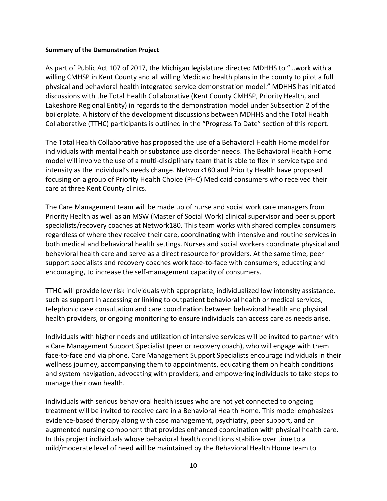#### **Summary of the Demonstration Project**

As part of Public Act 107 of 2017, the Michigan legislature directed MDHHS to "…work with a willing CMHSP in Kent County and all willing Medicaid health plans in the county to pilot a full physical and behavioral health integrated service demonstration model." MDHHS has initiated discussions with the Total Health Collaborative (Kent County CMHSP, Priority Health, and Lakeshore Regional Entity) in regards to the demonstration model under Subsection 2 of the boilerplate. A history of the development discussions between MDHHS and the Total Health Collaborative (TTHC) participants is outlined in the "Progress To Date" section of this report.

The Total Health Collaborative has proposed the use of a Behavioral Health Home model for individuals with mental health or substance use disorder needs. The Behavioral Health Home model will involve the use of a multi-disciplinary team that is able to flex in service type and intensity as the individual's needs change. Network180 and Priority Health have proposed focusing on a group of Priority Health Choice (PHC) Medicaid consumers who received their care at three Kent County clinics.

The Care Management team will be made up of nurse and social work care managers from Priority Health as well as an MSW (Master of Social Work) clinical supervisor and peer support specialists/recovery coaches at Network180. This team works with shared complex consumers regardless of where they receive their care, coordinating with intensive and routine services in both medical and behavioral health settings. Nurses and social workers coordinate physical and behavioral health care and serve as a direct resource for providers. At the same time, peer support specialists and recovery coaches work face-to-face with consumers, educating and encouraging, to increase the self-management capacity of consumers.

TTHC will provide low risk individuals with appropriate, individualized low intensity assistance, such as support in accessing or linking to outpatient behavioral health or medical services, telephonic case consultation and care coordination between behavioral health and physical health providers, or ongoing monitoring to ensure individuals can access care as needs arise.

Individuals with higher needs and utilization of intensive services will be invited to partner with a Care Management Support Specialist (peer or recovery coach), who will engage with them face-to-face and via phone. Care Management Support Specialists encourage individuals in their wellness journey, accompanying them to appointments, educating them on health conditions and system navigation, advocating with providers, and empowering individuals to take steps to manage their own health.

Individuals with serious behavioral health issues who are not yet connected to ongoing treatment will be invited to receive care in a Behavioral Health Home. This model emphasizes evidence-based therapy along with case management, psychiatry, peer support, and an augmented nursing component that provides enhanced coordination with physical health care. In this project individuals whose behavioral health conditions stabilize over time to a mild/moderate level of need will be maintained by the Behavioral Health Home team to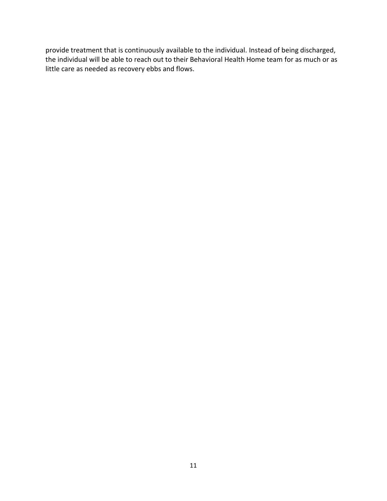provide treatment that is continuously available to the individual. Instead of being discharged, the individual will be able to reach out to their Behavioral Health Home team for as much or as little care as needed as recovery ebbs and flows.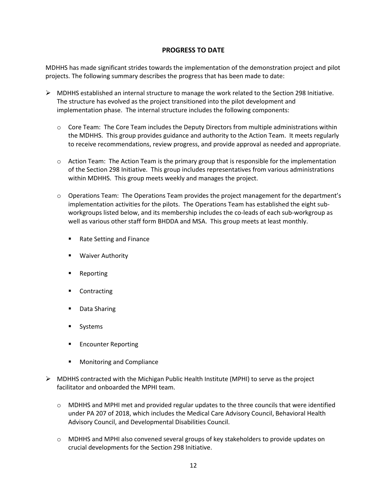## **PROGRESS TO DATE**

MDHHS has made significant strides towards the implementation of the demonstration project and pilot projects. The following summary describes the progress that has been made to date:

- $\triangleright$  MDHHS established an internal structure to manage the work related to the Section 298 Initiative. The structure has evolved as the project transitioned into the pilot development and implementation phase. The internal structure includes the following components:
	- o Core Team: The Core Team includes the Deputy Directors from multiple administrations within the MDHHS. This group provides guidance and authority to the Action Team. It meets regularly to receive recommendations, review progress, and provide approval as needed and appropriate.
	- $\circ$  Action Team: The Action Team is the primary group that is responsible for the implementation of the Section 298 Initiative. This group includes representatives from various administrations within MDHHS. This group meets weekly and manages the project.
	- $\circ$  Operations Team: The Operations Team provides the project management for the department's implementation activities for the pilots. The Operations Team has established the eight subworkgroups listed below, and its membership includes the co-leads of each sub-workgroup as well as various other staff form BHDDA and MSA. This group meets at least monthly.
		- Rate Setting and Finance
		- **Waiver Authority**
		- Reporting
		- Contracting
		- Data Sharing
		- Systems
		- **Encounter Reporting**
		- Monitoring and Compliance
- $\triangleright$  MDHHS contracted with the Michigan Public Health Institute (MPHI) to serve as the project facilitator and onboarded the MPHI team.
	- $\circ$  MDHHS and MPHI met and provided regular updates to the three councils that were identified under PA 207 of 2018, which includes the Medical Care Advisory Council, Behavioral Health Advisory Council, and Developmental Disabilities Council.
	- $\circ$  MDHHS and MPHI also convened several groups of key stakeholders to provide updates on crucial developments for the Section 298 Initiative.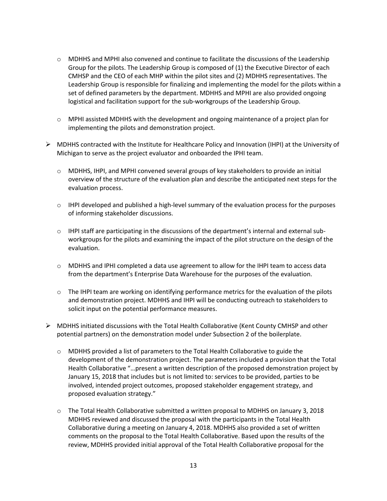- $\circ$  MDHHS and MPHI also convened and continue to facilitate the discussions of the Leadership Group for the pilots. The Leadership Group is composed of (1) the Executive Director of each CMHSP and the CEO of each MHP within the pilot sites and (2) MDHHS representatives. The Leadership Group is responsible for finalizing and implementing the model for the pilots within a set of defined parameters by the department. MDHHS and MPHI are also provided ongoing logistical and facilitation support for the sub-workgroups of the Leadership Group.
- $\circ$  MPHI assisted MDHHS with the development and ongoing maintenance of a project plan for implementing the pilots and demonstration project.
- $\triangleright$  MDHHS contracted with the Institute for Healthcare Policy and Innovation (IHPI) at the University of Michigan to serve as the project evaluator and onboarded the IPHI team.
	- $\circ$  MDHHS, IHPI, and MPHI convened several groups of key stakeholders to provide an initial overview of the structure of the evaluation plan and describe the anticipated next steps for the evaluation process.
	- $\circ$  IHPI developed and published a high-level summary of the evaluation process for the purposes of informing stakeholder discussions.
	- o IHPI staff are participating in the discussions of the department's internal and external subworkgroups for the pilots and examining the impact of the pilot structure on the design of the evaluation.
	- o MDHHS and IPHI completed a data use agreement to allow for the IHPI team to access data from the department's Enterprise Data Warehouse for the purposes of the evaluation.
	- $\circ$  The IHPI team are working on identifying performance metrics for the evaluation of the pilots and demonstration project. MDHHS and IHPI will be conducting outreach to stakeholders to solicit input on the potential performance measures.
- $\triangleright$  MDHHS initiated discussions with the Total Health Collaborative (Kent County CMHSP and other potential partners) on the demonstration model under Subsection 2 of the boilerplate.
	- o MDHHS provided a list of parameters to the Total Health Collaborative to guide the development of the demonstration project. The parameters included a provision that the Total Health Collaborative "…present a written description of the proposed demonstration project by January 15, 2018 that includes but is not limited to: services to be provided, parties to be involved, intended project outcomes, proposed stakeholder engagement strategy, and proposed evaluation strategy."
	- o The Total Health Collaborative submitted a written proposal to MDHHS on January 3, 2018 MDHHS reviewed and discussed the proposal with the participants in the Total Health Collaborative during a meeting on January 4, 2018. MDHHS also provided a set of written comments on the proposal to the Total Health Collaborative. Based upon the results of the review, MDHHS provided initial approval of the Total Health Collaborative proposal for the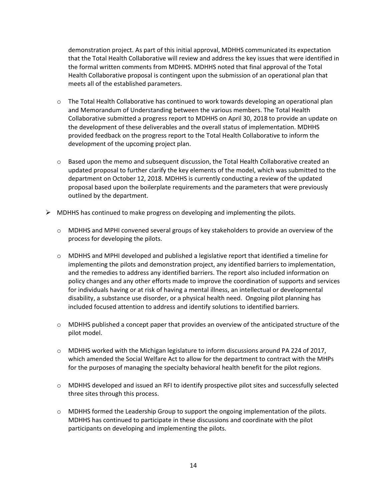demonstration project. As part of this initial approval, MDHHS communicated its expectation that the Total Health Collaborative will review and address the key issues that were identified in the formal written comments from MDHHS. MDHHS noted that final approval of the Total Health Collaborative proposal is contingent upon the submission of an operational plan that meets all of the established parameters.

- $\circ$  The Total Health Collaborative has continued to work towards developing an operational plan and Memorandum of Understanding between the various members. The Total Health Collaborative submitted a progress report to MDHHS on April 30, 2018 to provide an update on the development of these deliverables and the overall status of implementation. MDHHS provided feedback on the progress report to the Total Health Collaborative to inform the development of the upcoming project plan.
- $\circ$  Based upon the memo and subsequent discussion, the Total Health Collaborative created an updated proposal to further clarify the key elements of the model, which was submitted to the department on October 12, 2018. MDHHS is currently conducting a review of the updated proposal based upon the boilerplate requirements and the parameters that were previously outlined by the department.
- $\triangleright$  MDHHS has continued to make progress on developing and implementing the pilots.
	- $\circ$  MDHHS and MPHI convened several groups of key stakeholders to provide an overview of the process for developing the pilots.
	- $\circ$  MDHHS and MPHI developed and published a legislative report that identified a timeline for implementing the pilots and demonstration project, any identified barriers to implementation, and the remedies to address any identified barriers. The report also included information on policy changes and any other efforts made to improve the coordination of supports and services for individuals having or at risk of having a mental illness, an intellectual or developmental disability, a substance use disorder, or a physical health need. Ongoing pilot planning has included focused attention to address and identify solutions to identified barriers.
	- $\circ$  MDHHS published a concept paper that provides an overview of the anticipated structure of the pilot model.
	- o MDHHS worked with the Michigan legislature to inform discussions around PA 224 of 2017, which amended the Social Welfare Act to allow for the department to contract with the MHPs for the purposes of managing the specialty behavioral health benefit for the pilot regions.
	- o MDHHS developed and issued an RFI to identify prospective pilot sites and successfully selected three sites through this process.
	- o MDHHS formed the Leadership Group to support the ongoing implementation of the pilots. MDHHS has continued to participate in these discussions and coordinate with the pilot participants on developing and implementing the pilots.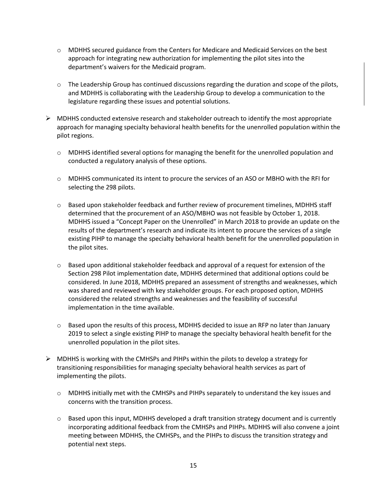- o MDHHS secured guidance from the Centers for Medicare and Medicaid Services on the best approach for integrating new authorization for implementing the pilot sites into the department's waivers for the Medicaid program.
- $\circ$  The Leadership Group has continued discussions regarding the duration and scope of the pilots, and MDHHS is collaborating with the Leadership Group to develop a communication to the legislature regarding these issues and potential solutions.
- $\triangleright$  MDHHS conducted extensive research and stakeholder outreach to identify the most appropriate approach for managing specialty behavioral health benefits for the unenrolled population within the pilot regions.
	- $\circ$  MDHHS identified several options for managing the benefit for the unenrolled population and conducted a regulatory analysis of these options.
	- o MDHHS communicated its intent to procure the services of an ASO or MBHO with the RFI for selecting the 298 pilots.
	- $\circ$  Based upon stakeholder feedback and further review of procurement timelines, MDHHS staff determined that the procurement of an ASO/MBHO was not feasible by October 1, 2018. MDHHS issued a "Concept Paper on the Unenrolled" in March 2018 to provide an update on the results of the department's research and indicate its intent to procure the services of a single existing PIHP to manage the specialty behavioral health benefit for the unenrolled population in the pilot sites.
	- $\circ$  Based upon additional stakeholder feedback and approval of a request for extension of the Section 298 Pilot implementation date, MDHHS determined that additional options could be considered. In June 2018, MDHHS prepared an assessment of strengths and weaknesses, which was shared and reviewed with key stakeholder groups. For each proposed option, MDHHS considered the related strengths and weaknesses and the feasibility of successful implementation in the time available.
	- $\circ$  Based upon the results of this process, MDHHS decided to issue an RFP no later than January 2019 to select a single existing PIHP to manage the specialty behavioral health benefit for the unenrolled population in the pilot sites.
- $\triangleright$  MDHHS is working with the CMHSPs and PIHPs within the pilots to develop a strategy for transitioning responsibilities for managing specialty behavioral health services as part of implementing the pilots.
	- $\circ$  MDHHS initially met with the CMHSPs and PIHPs separately to understand the key issues and concerns with the transition process.
	- $\circ$  Based upon this input, MDHHS developed a draft transition strategy document and is currently incorporating additional feedback from the CMHSPs and PIHPs. MDHHS will also convene a joint meeting between MDHHS, the CMHSPs, and the PIHPs to discuss the transition strategy and potential next steps.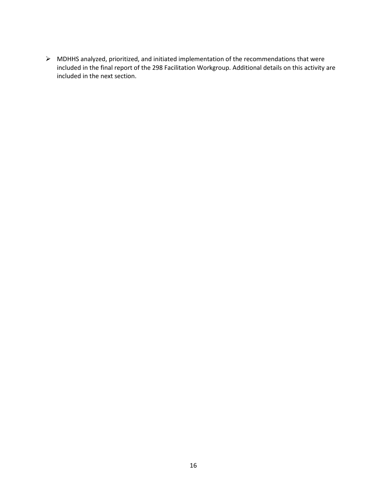➢ MDHHS analyzed, prioritized, and initiated implementation of the recommendations that were included in the final report of the 298 Facilitation Workgroup. Additional details on this activity are included in the next section.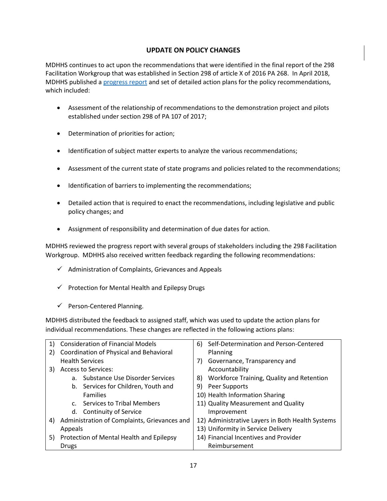# **UPDATE ON POLICY CHANGES**

MDHHS continues to act upon the recommendations that were identified in the final report of the 298 Facilitation Workgroup that was established in Section 298 of article X of 2016 PA 268. In April 2018, MDHHS published [a progress report](https://www.michigan.gov/documents/mdhhs/298_Policy_Recommendation_-_Progress_Report_Narrative_-_Final_620702_7.pdf) and set of detailed action plans for the policy recommendations, which included:

- Assessment of the relationship of recommendations to the demonstration project and pilots established under section 298 of PA 107 of 2017;
- Determination of priorities for action;
- Identification of subject matter experts to analyze the various recommendations;
- Assessment of the current state of state programs and policies related to the recommendations;
- Identification of barriers to implementing the recommendations;
- Detailed action that is required to enact the recommendations, including legislative and public policy changes; and
- Assignment of responsibility and determination of due dates for action.

MDHHS reviewed the progress report with several groups of stakeholders including the 298 Facilitation Workgroup. MDHHS also received written feedback regarding the following recommendations:

- $\checkmark$  Administration of Complaints, Grievances and Appeals
- $\checkmark$  Protection for Mental Health and Epilepsy Drugs
- ✓ Person-Centered Planning.

MDHHS distributed the feedback to assigned staff, which was used to update the action plans for individual recommendations. These changes are reflected in the following actions plans:

| 1) | <b>Consideration of Financial Models</b>     | Self-Determination and Person-Centered<br>6)     |
|----|----------------------------------------------|--------------------------------------------------|
| 2) | Coordination of Physical and Behavioral      | Planning                                         |
|    | <b>Health Services</b>                       | Governance, Transparency and<br>7)               |
| 3) | <b>Access to Services:</b>                   | Accountability                                   |
|    | a. Substance Use Disorder Services           | Workforce Training, Quality and Retention<br>8)  |
|    | b. Services for Children, Youth and          | Peer Supports<br>9)                              |
|    | <b>Families</b>                              | 10) Health Information Sharing                   |
|    | c. Services to Tribal Members                | 11) Quality Measurement and Quality              |
|    | d. Continuity of Service                     | Improvement                                      |
| 4) | Administration of Complaints, Grievances and | 12) Administrative Layers in Both Health Systems |
|    | Appeals                                      | 13) Uniformity in Service Delivery               |
| 5) | Protection of Mental Health and Epilepsy     | 14) Financial Incentives and Provider            |
|    | Drugs                                        | Reimbursement                                    |